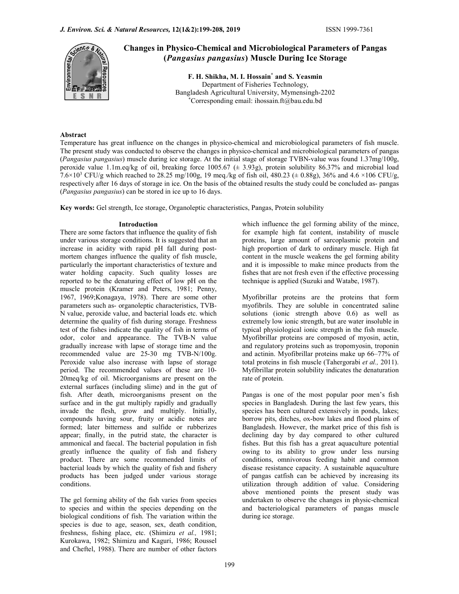

Changes in Physico-Chemical and Microbiological Parameters of Pangas (Pangasius pangasius) Muscle During Ice Storage

> F. H. Shikha, M. I. Hossain\* and S. Yeasmin Department of Fisheries Technology, Bangladesh Agricultural University, Mymensingh-2202 \*Corresponding email: ihossain.ft@bau.edu.bd

# Abstract

Temperature has great influence on the changes in physico-chemical and microbiological parameters of fish muscle. The present study was conducted to observe the changes in physico-chemical and microbiological parameters of pangas (Pangasius pangasius) muscle during ice storage. At the initial stage of storage TVBN-value was found 1.37mg/100g, peroxide value 1.1m.eq/kg of oil, breaking force 1005.67 (± 3.93g), protein solubility 86.37% and microbial load 7.6×10<sup>3</sup> CFU/g which reached to 28.25 mg/100g, 19 meq./kg of fish oil, 480.23 ( $\pm$  0.88g), 36% and 4.6 ×106 CFU/g, respectively after 16 days of storage in ice. On the basis of the obtained results the study could be concluded as- pangas (Pangasius pangasius) can be stored in ice up to 16 days.

Key words: Gel strength, Ice storage, Organoleptic characteristics, Pangas, Protein solubility

There are some factors that influence the quality of fish under various storage conditions. It is suggested that an increase in acidity with rapid pH fall during postmortem changes influence the quality of fish muscle, particularly the important characteristics of texture and water holding capacity. Such quality losses are reported to be the denaturing effect of low pH on the muscle protein (Kramer and Peters, 1981; Penny, 1967, 1969;Konagaya, 1978). There are some other parameters such as- organoleptic characteristics, TVB-N value, peroxide value, and bacterial loads etc. which determine the quality of fish during storage. Freshness test of the fishes indicate the quality of fish in terms of odor, color and appearance. The TVB-N value gradually increase with lapse of storage time and the recommended value are 25-30 mg TVB-N/100g. Peroxide value also increase with lapse of storage period. The recommended values of these are 10- 20meq/kg of oil. Microorganisms are present on the external surfaces (including slime) and in the gut of fish. After death, microorganisms present on the surface and in the gut multiply rapidly and gradually invade the flesh, grow and multiply. Initially, compounds having sour, fruity or acidic notes are formed; later bitterness and sulfide or rubberizes appear; finally, in the putrid state, the character is ammonical and faecal. The bacterial population in fish greatly influence the quality of fish and fishery product. There are some recommended limits of bacterial loads by which the quality of fish and fishery products has been judged under various storage conditions.

The gel forming ability of the fish varies from species to species and within the species depending on the biological conditions of fish. The variation within the species is due to age, season, sex, death condition, freshness, fishing place, etc. (Shimizu et al., 1981; Kurokawa, 1982; Shimizu and Kaguri, 1986; Roussel and Cheftel, 1988). There are number of other factors

**Introduction Example 3** which influence the gel forming ability of the mince, for example high fat content, instability of muscle proteins, large amount of sarcoplasmic protein and high proportion of dark to ordinary muscle. High fat content in the muscle weakens the gel forming ability and it is impossible to make mince products from the fishes that are not fresh even if the effective processing technique is applied (Suzuki and Watabe, 1987).

> Myofibrillar proteins are the proteins that form myofibrils. They are soluble in concentrated saline solutions (ionic strength above 0.6) as well as extremely low ionic strength, but are water insoluble in typical physiological ionic strength in the fish muscle. Myofibrillar proteins are composed of myosin, actin, and regulatory proteins such as tropomyosin, troponin and actinin. Myofibrillar proteins make up 66–77% of total proteins in fish muscle (Tahergorabi et al., 2011). Myfibrillar protein solubility indicates the denaturation rate of protein.

> Pangas is one of the most popular poor men's fish species in Bangladesh. During the last few years, this species has been cultured extensively in ponds, lakes; borrow pits, ditches, ox-bow lakes and flood plains of Bangladesh. However, the market price of this fish is declining day by day compared to other cultured fishes. But this fish has a great aquaculture potential owing to its ability to grow under less nursing conditions, omnivorous feeding habit and common disease resistance capacity. A sustainable aquaculture of pangas catfish can be achieved by increasing its utilization through addition of value. Considering above mentioned points the present study was undertaken to observe the changes in physic-chemical and bacteriological parameters of pangas muscle during ice storage.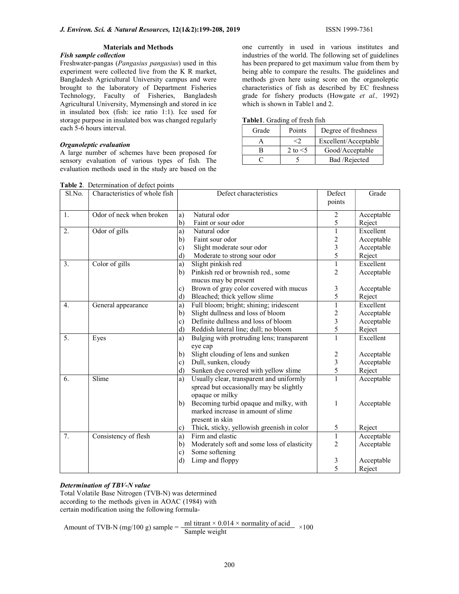# Materials and Methods

# Fish sample collection

Freshwater-pangas (Pangasius pangasius) used in this experiment were collected live from the K R market, Bangladesh Agricultural University campus and were brought to the laboratory of Department Fisheries Technology, Faculty of Fisheries, Bangladesh Agricultural University, Mymensingh and stored in ice in insulated box (fish: ice ratio 1:1). Ice used for storage purpose in insulated box was changed regularly each 5-6 hours interval.

#### Organoleptic evaluation

A large number of schemes have been proposed for sensory evaluation of various types of fish. The evaluation methods used in the study are based on the one currently in used in various institutes and industries of the world. The following set of guidelines has been prepared to get maximum value from them by being able to compare the results. The guidelines and methods given here using score on the organoleptic characteristics of fish as described by EC freshness grade for fishery products (Howgate et al., 1992) which is shown in Table1 and 2.

| Grade | Points        | Degree of freshness  |
|-------|---------------|----------------------|
|       |               | Excellent/Acceptable |
| К     | 2 to $\leq$ 5 | Good/Acceptable      |
|       |               | Bad /Rejected        |

| Sl.No.           | Characteristics of whole fish |               | Defect characteristics                      | Defect                  | Grade      |
|------------------|-------------------------------|---------------|---------------------------------------------|-------------------------|------------|
|                  |                               |               |                                             | points                  |            |
| 1.               | Odor of neck when broken      | a)            | Natural odor                                | 2                       | Acceptable |
|                  |                               | b)            | Faint or sour odor                          | 5                       | Reject     |
| 2.               | Odor of gills                 | a)            | Natural odor                                | 1                       | Excellent  |
|                  |                               | b)            | Faint sour odor                             | 2                       | Acceptable |
|                  |                               | $\mathbf{c})$ | Slight moderate sour odor                   | 3                       | Acceptable |
|                  |                               | d)            | Moderate to strong sour odor                | 5                       | Reject     |
| 3.               | Color of gills                | a)            | Slight pinkish red                          | 1                       | Excellent  |
|                  |                               | b)            | Pinkish red or brownish red., some          | 2                       | Acceptable |
|                  |                               |               | mucus may be present                        |                         |            |
|                  |                               | $\mathbf{c})$ | Brown of gray color covered with mucus      | 3                       | Acceptable |
|                  |                               | d)            | Bleached; thick yellow slime                | 5                       | Reject     |
| $\overline{4}$ . | General appearance            | a)            | Full bloom; bright; shining; iridescent     | $\mathbf{1}$            | Excellent  |
|                  |                               | b)            | Slight dullness and loss of bloom           | 2                       | Acceptable |
|                  |                               | $\mathbf{c})$ | Definite dullness and loss of bloom         | 3                       | Acceptable |
|                  |                               | d)            | Reddish lateral line; dull; no bloom        | 5                       | Reject     |
| 5.               | Eyes                          | a)            | Bulging with protruding lens; transparent   | $\mathbf{1}$            | Excellent  |
|                  |                               |               | eye cap                                     |                         |            |
|                  |                               | b)            | Slight clouding of lens and sunken          | $\overline{\mathbf{c}}$ | Acceptable |
|                  |                               | $\mathbf{c})$ | Dull, sunken, cloudy                        | $\overline{\mathbf{3}}$ | Acceptable |
|                  |                               | d)            | Sunken dye covered with yellow slime        | 5                       | Reject     |
| 6.               | Slime                         | a)            | Usually clear, transparent and uniformly    |                         | Acceptable |
|                  |                               |               | spread but occasionally may be slightly     |                         |            |
|                  |                               |               | opaque or milky                             |                         |            |
|                  |                               | b)            | Becoming turbid opaque and milky, with      | 1                       | Acceptable |
|                  |                               |               | marked increase in amount of slime          |                         |            |
|                  |                               |               | present in skin                             |                         |            |
|                  |                               | $\mathbf{c})$ | Thick, sticky, yellowish greenish in color  | 5                       | Reject     |
| 7.               | Consistency of flesh          | a)            | Firm and elastic                            | $\mathbf{1}$            | Acceptable |
|                  |                               | b)            | Moderately soft and some loss of elasticity | $\overline{2}$          | Acceptable |
|                  |                               | $\mathbf{c})$ | Some softening                              |                         |            |
|                  |                               | $\rm d$       | Limp and floppy                             | 3                       | Acceptable |
|                  |                               |               |                                             | 5                       | Reject     |

# Determination of TBV-N value

Total Volatile Base Nitrogen (TVB-N) was determined according to the methods given in AOAC (1984) with certain modification using the following formula-

Amount of TVB-N (mg/100 g) sample =  $\frac{\text{ml titrant} \times 0.014 \times \text{normality of acid}}{\text{Sample weight}}$  ×100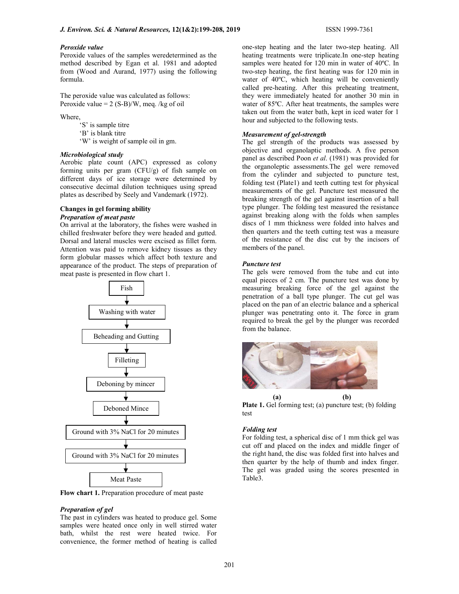#### Peroxide value

Peroxide values of the samples weredetermined as the method described by Egan et al. 1981 and adopted from (Wood and Aurand, 1977) using the following formula.

The peroxide value was calculated as follows: Peroxide value =  $2 (S-B)/W$ , meg. /kg of oil

Where,

 'S' is sample titre 'B' is blank titre

'W' is weight of sample oil in gm.

#### Microbiological study

Aerobic plate count (APC) expressed as colony forming units per gram (CFU/g) of fish sample on different days of ice storage were determined by consecutive decimal dilution techniques using spread plates as described by Seely and Vandemark (1972).

# Changes in gel forming ability Preparation of meat paste

On arrival at the laboratory, the fishes were washed in chilled freshwater before they were headed and gutted. Dorsal and lateral muscles were excised as fillet form. Attention was paid to remove kidney tissues as they form globular masses which affect both texture and appearance of the product. The steps of preparation of meat paste is presented in flow chart 1.



Flow chart 1. Preparation procedure of meat paste

# Preparation of gel

The past in cylinders was heated to produce gel. Some samples were heated once only in well stirred water bath, whilst the rest were heated twice. For convenience, the former method of heating is called

one-step heating and the later two-step heating. All heating treatments were triplicate.In one-step heating samples were heated for 120 min in water of 40ºC. In two-step heating, the first heating was for 120 min in water of 40ºC, which heating will be conveniently called pre-heating. After this preheating treatment, they were immediately heated for another 30 min in water of 85ºC. After heat treatments, the samples were taken out from the water bath, kept in iced water for 1 hour and subjected to the following tests.

#### Measurement of gel-strength

The gel strength of the products was assessed by objective and organolaptic methods. A five person panel as described Poon et al. (1981) was provided for the organoleptic assessments.The gel were removed from the cylinder and subjected to puncture test, folding test (Plate1) and teeth cutting test for physical measurements of the gel. Puncture test measured the breaking strength of the gel against insertion of a ball type plunger. The folding test measured the resistance against breaking along with the folds when samples discs of 1 mm thickness were folded into halves and then quarters and the teeth cutting test was a measure of the resistance of the disc cut by the incisors of members of the panel.

## Puncture test

The gels were removed from the tube and cut into equal pieces of 2 cm. The puncture test was done by measuring breaking force of the gel against the penetration of a ball type plunger. The cut gel was placed on the pan of an electric balance and a spherical plunger was penetrating onto it. The force in gram required to break the gel by the plunger was recorded from the balance.



Plate 1. Gel forming test; (a) puncture test; (b) folding test

### Folding test

For folding test, a spherical disc of 1 mm thick gel was cut off and placed on the index and middle finger of the right hand, the disc was folded first into halves and then quarter by the help of thumb and index finger. The gel was graded using the scores presented in Table3.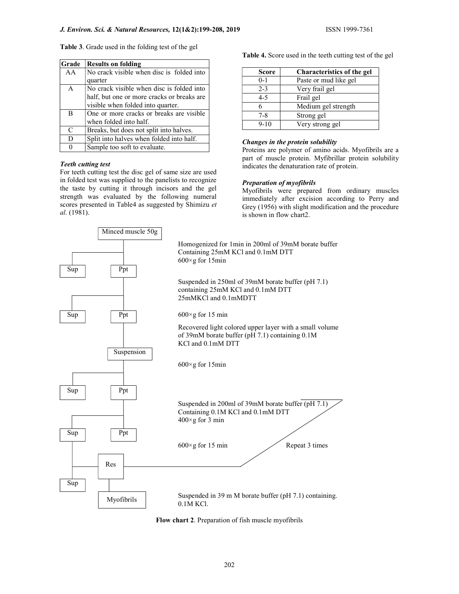| Grade         | <b>Results on folding</b>                  |
|---------------|--------------------------------------------|
| AA            | No crack visible when disc is folded into  |
|               | quarter                                    |
| $\mathsf{A}$  | No crack visible when disc is folded into  |
|               | half, but one or more cracks or breaks are |
|               | visible when folded into quarter.          |
| B             | One or more cracks or breaks are visible   |
|               | when folded into half.                     |
| $\mathcal{C}$ | Breaks, but does not split into halves.    |
| D             | Split into halves when folded into half.   |
| $\Omega$      | Sample too soft to evaluate.               |

# Teeth cutting test

For teeth cutting test the disc gel of same size are used in folded test was supplied to the panelists to recognize the taste by cutting it through incisors and the gel strength was evaluated by the following numeral scores presented in Table4 as suggested by Shimizu et al. (1981).

Table 4. Score used in the teeth cutting test of the gel

| <b>Score</b> | <b>Characteristics of the gel</b> |
|--------------|-----------------------------------|
| $0 - 1$      | Paste or mud like gel             |
| $2 - 3$      | Very frail gel                    |
| $4 - 5$      | Frail gel                         |
|              | Medium gel strength               |
| $7 - 8$      | Strong gel                        |
| $9 - 10$     | Very strong gel                   |

# Changes in the protein solubility

Proteins are polymer of amino acids. Myofibrils are a part of muscle protein. Myfibrillar protein solubility indicates the denaturation rate of protein.

# Preparation of myofibrils

Myofibrils were prepared from ordinary muscles immediately after excision according to Perry and Grey (1956) with slight modification and the procedure is shown in flow chart2.



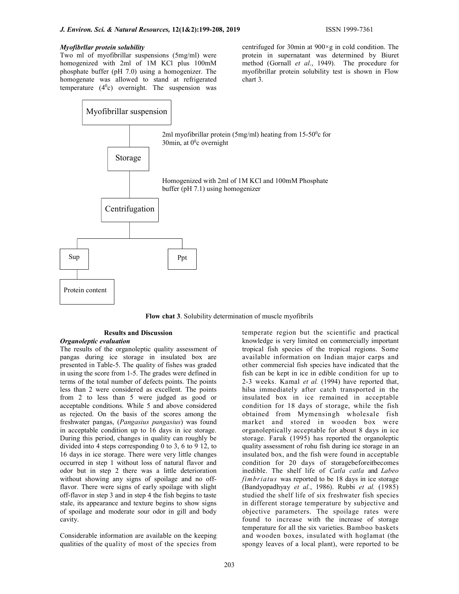#### Myofibrllar protein solubility

Two ml of myofibrillar suspensions (5mg/ml) were homogenized with 2ml of 1M KCl plus 100mM phosphate buffer (pH 7.0) using a homogenizer. The homogenate was allowed to stand at refrigerated temperature  $(4^0c)$  overnight. The suspension was

centrifuged for 30min at 900×g in cold condition. The protein in supernatant was determined by Biuret method (Gornall et al., 1949). The procedure for myofibrillar protein solubility test is shown in Flow chart 3.



Flow chat 3. Solubility determination of muscle myofibrils

# Results and Discussion

#### Organoleptic evaluation

The results of the organoleptic quality assessment of pangas during ice storage in insulated box are presented in Table-5. The quality of fishes was graded in using the score from 1-5. The grades were defined in terms of the total number of defects points. The points less than 2 were considered as excellent. The points from 2 to less than 5 were judged as good or acceptable conditions. While 5 and above considered as rejected. On the basis of the scores among the freshwater pangas, (Pangasius pangasius) was found in acceptable condition up to 16 days in ice storage. During this period, changes in quality can roughly be divided into 4 steps corresponding 0 to 3, 6 to 9 12, to 16 days in ice storage. There were very little changes occurred in step 1 without loss of natural flavor and odor but in step 2 there was a little deterioration without showing any signs of spoilage and no offflavor. There were signs of early spoilage with slight off-flavor in step 3 and in step 4 the fish begins to taste stale, its appearance and texture begins to show signs of spoilage and moderate sour odor in gill and body cavity.

Considerable information are available on the keeping qualities of the quality of most of the species from

temperate region but the scientific and practical knowledge is very limited on commercially important tropical fish species of the tropical regions. Some available information on Indian major carps and other commercial fish species have indicated that the fish can be kept in ice in edible condition for up to 2-3 weeks. Kamal et al. (1994) have reported that, hilsa immediately after catch transported in the insulated box in ice remained in acceptable condition for 18 days of storage, while the fish obtained from Mymensingh wholesale fish market and stored in wooden box were organoleptically acceptable for about 8 days in ice storage. Faruk (1995) has reported the organoleptic quality assessment of rohu fish during ice storage in an insulated box, and the fish were found in acceptable condition for 20 days of storagebeforeitbecomes inedible. The shelf life of Catla catla and Labeo fimbriatus was reported to be 18 days in ice storage (Bandyopadhyay et al., 1986). Rubbi et al. (1985) studied the shelf life of six freshwater fish species in different storage temperature by subjective and objective parameters. The spoilage rates were found to increase with the increase of storage temperature for all the six varieties. Bamboo baskets and wooden boxes, insulated with hoglamat (the spongy leaves of a local plant), were reported to be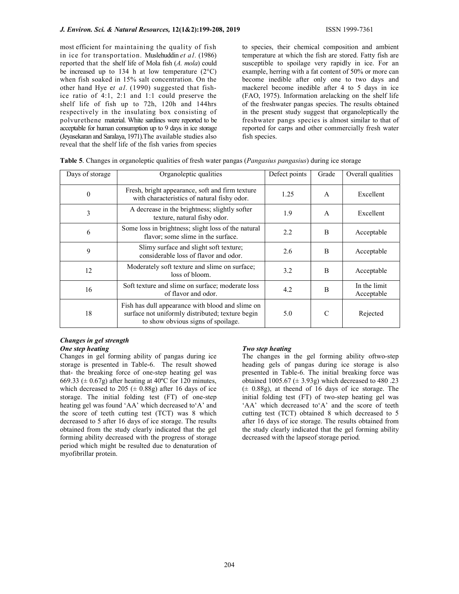most efficient for maintaining the quality of fish in ice for transportation. Muslehuddin et a1. (1986) reported that the shelf life of Mola fish (A. mola) could be increased up to 134 h at low temperature  $(2^{\circ}C)$ when fish soaked in 15% salt concentration. On the other hand Hye et  $aI$ . (1990) suggested that fishice ratio of 4:1, 2:1 and 1:1 could preserve the shelf life of fish up to 72h, 120h and 144hrs respectively in the insulating box consisting of polvurethene material. White sardines were reported to be acceptable for human consumption up to 9 days in ice storage (Jeyasekaran and Saralaya, 1971).The available studies also reveal that the shelf life of the fish varies from species

to species, their chemical composition and ambient temperature at which the fish are stored. Fatty fish are susceptible to spoilage very rapidly in ice. For an example, herring with a fat content of 50% or more can become inedible after only one to two days and mackerel become inedible after 4 to 5 days in ice (FAO, 1975). Information arelacking on the shelf life of the freshwater pangas species. The results obtained in the present study suggest that organoleptically the freshwater pangs species is almost similar to that of reported for carps and other commercially fresh water fish species.

| Days of storage | Organoleptic qualities                                                                                                                     | Defect points | Grade        | Overall qualities          |
|-----------------|--------------------------------------------------------------------------------------------------------------------------------------------|---------------|--------------|----------------------------|
| $\theta$        | Fresh, bright appearance, soft and firm texture<br>with characteristics of natural fishy odor.                                             | 1.25          | $\mathsf{A}$ | Excellent                  |
| 3               | A decrease in the brightness; slightly softer<br>texture, natural fishy odor.                                                              | 1.9           | $\mathsf{A}$ | Excellent                  |
| 6               | Some loss in brightness; slight loss of the natural<br>flavor; some slime in the surface.                                                  | 2.2           | <sub>B</sub> | Acceptable                 |
| 9               | Slimy surface and slight soft texture;<br>considerable loss of flavor and odor.                                                            | 2.6           | B            | Acceptable                 |
| 12              | Moderately soft texture and slime on surface;<br>loss of bloom.                                                                            | 3.2           | B            | Acceptable                 |
| 16              | Soft texture and slime on surface; moderate loss<br>of flavor and odor.                                                                    | 4.2           | B            | In the limit<br>Acceptable |
| 18              | Fish has dull appearance with blood and slime on<br>surface not uniformly distributed; texture begin<br>to show obvious signs of spoilage. | 5.0           | C            | Rejected                   |

|  |  |  |  | Table 5. Changes in organoleptic qualities of fresh water pangas (Pangasius pangasius) during ice storage |
|--|--|--|--|-----------------------------------------------------------------------------------------------------------|
|  |  |  |  |                                                                                                           |

# Changes in gel strength One step heating

Changes in gel forming ability of pangas during ice storage is presented in Table-6. The result showed that- the breaking force of one-step heating gel was 669.33 ( $\pm$  0.67g) after heating at 40<sup>o</sup>C for 120 minutes, which decreased to 205 ( $\pm$  0.88g) after 16 days of ice storage. The initial folding test (FT) of one-step heating gel was found 'AA' which decreased to'A' and the score of teeth cutting test (TCT) was 8 which decreased to 5 after 16 days of ice storage. The results obtained from the study clearly indicated that the gel forming ability decreased with the progress of storage period which might be resulted due to denaturation of myofibrillar protein.

# Two step heating

The changes in the gel forming ability oftwo-step heading gels of pangas during ice storage is also presented in Table-6. The initial breaking force was obtained 1005.67 ( $\pm$  3.93g) which decreased to 480 .23  $(± 0.88g)$ , at theend of 16 days of ice storage. The initial folding test (FT) of two-step heating gel was 'AA' which decreased to'A' and the score of teeth cutting test (TCT) obtained 8 which decreased to 5 after 16 days of ice storage. The results obtained from the study clearly indicated that the gel forming ability decreased with the lapseof storage period.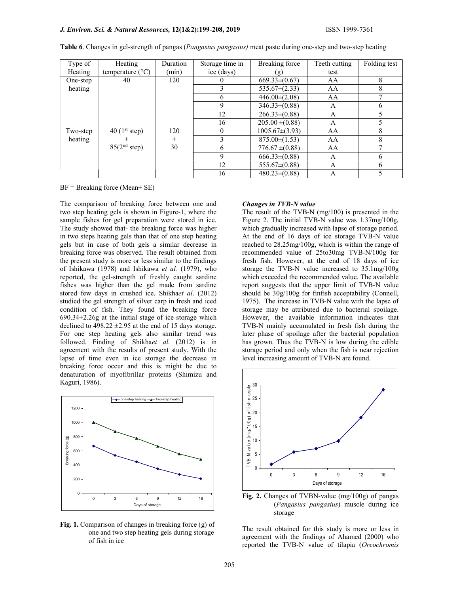| Type of  | Heating                     | Duration       | Storage time in | Breaking force      | Teeth cutting | Folding test |
|----------|-----------------------------|----------------|-----------------|---------------------|---------------|--------------|
| Heating  | temperature $(^{\circ}C)$   | (min)          | ice (days)      | (g)                 | test          |              |
| One-step | 40                          | 120            |                 | $669.33\pm(0.67)$   | AA            | 8            |
| heating  |                             |                |                 | $535.67\pm(2.33)$   | AA            | 8            |
|          |                             |                | 6               | $446.00\pm(2.08)$   | AA            |              |
|          |                             |                | 9               | $346.33\pm(0.88)$   | A             | 6            |
|          |                             |                | 12              | $266.33\pm(0.88)$   | А             |              |
|          |                             |                | 16              | $205.00 \pm (0.88)$ | A             |              |
| Two-step | $40$ (1 <sup>st</sup> step) | 120            | $\theta$        | $1005.67\pm(3.93)$  | AA            | 8            |
| heating  |                             | $\overline{+}$ |                 | $875.00\pm(1.53)$   | AA            | 8            |
|          | 85(2 <sup>nd</sup> step)    | 30             | 6               | $776.67 \pm (0.88)$ | AA            |              |
|          |                             |                | 9               | $666.33\pm(0.88)$   | А             | 6            |
|          |                             |                | 12              | $555.67\pm(0.88)$   | А             | 6            |
|          |                             |                | 16              | $480.23\pm(0.88)$   | Α             |              |

|  |  |  | Table 6. Changes in gel-strength of pangas (Pangasius pangasius) meat paste during one-step and two-step heating |  |
|--|--|--|------------------------------------------------------------------------------------------------------------------|--|
|  |  |  |                                                                                                                  |  |
|  |  |  |                                                                                                                  |  |

 $BF = Breaking$  force (Mean $\pm$  SE)

The comparison of breaking force between one and two step heating gels is shown in Figure-1, where the sample fishes for gel preparation were stored in ice. The study showed that- the breaking force was higher in two steps heating gels than that of one step heating gels but in case of both gels a similar decrease in breaking force was observed. The result obtained from the present study is more or less similar to the findings of Ishikawa (1978) and Ishikawa et al. (1979), who reported, the gel-strength of freshly caught sardine fishes was higher than the gel made from sardine stored few days in crushed ice. Shikhaet al. (2012) studied the gel strength of silver carp in fresh and iced condition of fish. They found the breaking force 690.34±2.26g at the initial stage of ice storage which declined to  $498.22 \pm 2.95$  at the end of 15 days storage. For one step heating gels also similar trend was followed. Finding of Shikhaet al. (2012) is in agreement with the results of present study. With the lapse of time even in ice storage the decrease in breaking force occur and this is might be due to denaturation of myofibrillar proteins (Shimizu and Kaguri, 1986).





#### Changes in TVB-N value

The result of the TVB-N (mg/100) is presented in the Figure 2. The initial TVB-N value was 1.37mg/100g, which gradually increased with lapse of storage period. At the end of 16 days of ice storage TVB-N value reached to 28.25mg/100g, which is within the range of recommended value of 25to30mg TVB-N/100g for fresh fish. However, at the end of 18 days of ice storage the TVB-N value increased to 35.1mg/100g which exceeded the recommended value. The available report suggests that the upper limit of TVB-N value should be 30g/100g for finfish acceptability (Connell, 1975). The increase in TVB-N value with the lapse of storage may be attributed due to bacterial spoilage. However, the available information indicates that TVB-N mainly accumulated in fresh fish during the later phase of spoilage after the bacterial population has grown. Thus the TVB-N is low during the edible storage period and only when the fish is near rejection level increasing amount of TVB-N are found. *hanges in TVB-N value*<br>
lene result of the TVB-N value was 1.37mg/100g,<br>
lene result of the TVB-N value was 1.37mg/100g,<br>
hich gradually increased with lapse of storage projed,<br>
the end of 16 days of ice storage TVB-N va



Fig. 2. Changes of TVBN-value (mg/100g) of pangas (Pangasius pangasius) muscle during ice storage

The result obtained for this study is more or less in agreement with the findings of Ahamed (2000) who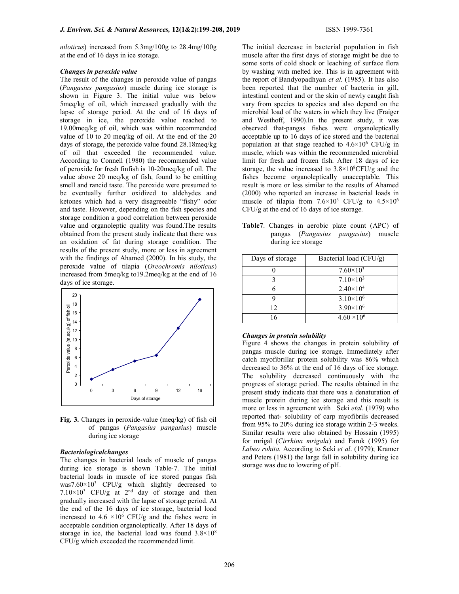niloticus) increased from 5.3mg/100g to 28.4mg/100g at the end of 16 days in ice storage.

# Changes in peroxide value

The result of the changes in peroxide value of pangas (Pangasius pangasius) muscle during ice storage is shown in Figure 3. The initial value was below 5meq/kg of oil, which increased gradually with the lapse of storage period. At the end of 16 days of storage in ice, the peroxide value reached to 19.00meq/kg of oil, which was within recommended value of 10 to 20 meq/kg of oil. At the end of the 20 days of storage, the peroxide value found 28.18meq/kg of oil that exceeded the recommended value. According to Connell (1980) the recommended value of peroxide for fresh finfish is 10-20meq/kg of oil. The value above 20 meq/kg of fish, found to be emitting smell and rancid taste. The peroxide were presumed to be eventually further oxidized to aldehydes and ketones which had a very disagreeable "fishy" odor and taste. However, depending on the fish species and storage condition a good correlation between peroxide value and organoleptic quality was found.The results obtained from the present study indicate that there was an oxidation of fat during storage condition. The results of the present study, more or less in agreement with the findings of Ahamed (2000). In his study, the peroxide value of tilapia (Oreochromis niloticus) increased from 5meq/kg to19.2meq/kg at the end of 16 days of ice storage.



Fig. 3. Changes in peroxide-value (meq/kg) of fish oil of pangas (Pangasius pangasius) muscle during ice storage

# Bacteriologicalchanges

The changes in bacterial loads of muscle of pangas during ice storage is shown Table-7. The initial bacterial loads in muscle of ice stored pangas fish was7.60×10<sup>3</sup> CPU/g which slightly decreased to  $7.10 \times 10^3$  CFU/g at  $2<sup>nd</sup>$  day of storage and then gradually increased with the lapse of storage period. At the end of the 16 days of ice storage, bacterial load increased to  $4.6 \times 10^6$  CFU/g and the fishes were in acceptable condition organoleptically. After 18 days of storage in ice, the bacterial load was found  $3.8 \times 10^8$ CFU/g which exceeded the recommended limit.

The initial decrease in bacterial population in fish muscle after the first days of storage might be due to some sorts of cold shock or leaching of surface flora by washing with melted ice. This is in agreement with the report of Bandyopadhyan et al. (1985). It has also been reported that the number of bacteria in gill, intestinal content and or the skin of newly caught fish vary from species to species and also depend on the microbial load of the waters in which they live (Fraiger and Westhoff, 1990).In the present study, it was observed that-pangas fishes were organoleptically acceptable up to 16 days of ice stored and the bacterial population at that stage reached to  $4.6 \times 10^6$  CFU/g in muscle, which was within the recommended microbial limit for fresh and frozen fish. After 18 days of ice storage, the value increased to  $3.8 \times 10^8$ CFU/g and the fishes become organoleptically unacceptable. This result is more or less similar to the results of Ahamed (2000) who reported an increase in bacterial loads in muscle of tilapia from  $7.6 \times 10^3$  CFU/g to  $4.5 \times 10^6$ CFU/g at the end of 16 days of ice storage.

Table7. Changes in aerobic plate count (APC) of pangas (Pangasius pangasius) muscle during ice storage

| Days of storage | Bacterial load $(CFU/g)$ |
|-----------------|--------------------------|
|                 | $7.60\times10^{3}$       |
|                 | $7.10\times10^{3}$       |
|                 | $2.40 \times 10^{4}$     |
|                 | $3.10\times10^{6}$       |
| 12              | $3.90\times10^{6}$       |
| 16              | $4.60 \times 10^{6}$     |

# Changes in protein solubility

Figure 4 shows the changes in protein solubility of pangas muscle during ice storage. Immediately after catch myofibrillar protein solubility was 86% which decreased to 36% at the end of 16 days of ice storage. The solubility decreased continuously with the progress of storage period. The results obtained in the present study indicate that there was a denaturation of muscle protein during ice storage and this result is more or less in agreement with Seki *etal*. (1979) who reported that- solubility of carp myofibrils decreased from 95% to 20% during ice storage within 2-3 weeks. Similar results were also obtained by Hossain (1995) for mrigal (Cirrhina mrigala) and Faruk (1995) for Labeo rohita. According to Seki et al. (1979); Kramer and Peters (1981) the large fall in solubility during ice storage was due to lowering of pH.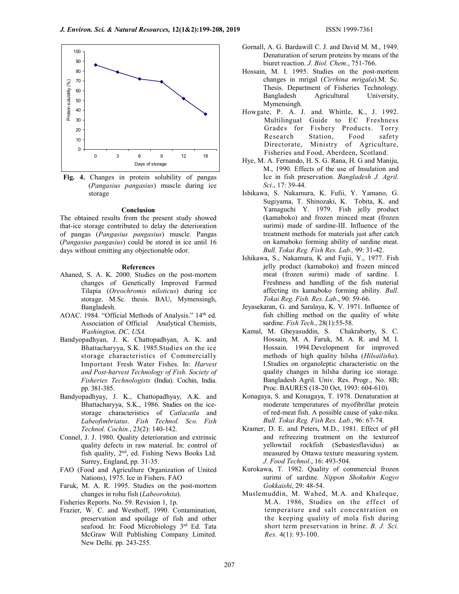

Fig. 4. Changes in protein solubility of pangas (Pangasius pangasius) muscle during ice storage

# Conclusion

The obtained results from the present study showed that-ice storage contributed to delay the deterioration of pangas (Pangasius pangasius) muscle. Pangas (Pangasius pangasius) could be stored in ice until 16 days without emitting any objectionable odor.

### References

- Ahaned, S. A. K. 2000. Studies on the post-mortem changes of Genetically Improved Farmed Tilapia (Oreochromis niloticus) during ice storage. M.Sc. thesis. BAU, Mymensingh, Bangladesh.
- AOAC. 1984. "Official Methods of Analysis." 14<sup>th</sup> ed. Association of Official Analytical Chemists, Washington, DC, USA.
- Bandyopadhyan, J. K. Chattopadhyan, A. K. and Bhattacharyya, S.K. 1985.Studies on the ice storage characteristics of Commercially Important Fresh Water Fishes. In: Harvest and Post-harvest Technology of Fish. Society of Fisheries Technologists (India). Cochin, India. pp. 381-385.
- Bandyopadhyay, J. K., Chattopadhyay, A.K. and Bhattacharyya, S.K., 1986. Studies on the icestorage characteristics of Catlacatla and Labeofimbriatus. Fish Technol. Sco. Fish Technol. Cochin., 23(2): 140-142.
- Connel, J. J. 1980. Quality deterioration and extrinsic quality defects in raw material. In: control of fish quality, 2<sup>nd</sup>, ed. Fishing News Books Ltd. Surrey, England, pp. 31-35.
- FAO (Food and Agriculture Organization of United Nations), 1975. Ice in Fishers. FAO
- Faruk, M. A. R. 1995. Studies on the post-mortem changes in rohu fish (Labeorohita).
- Fisheries Reports. No. 59. Revision 1, 1p.
- Frazier, W. C. and Westhoff, 1990. Contamination, preservation and spoilage of fish and other seafood. In: Food Microbiology 3<sup>rd</sup> Ed. Tata McGraw Will Publishing Company Limited. New Delhi. pp. 243-255.
- Gornall, A. G. Bardawill C. J. and David M. M., 1949. Denaturation of serum proteins by means of the biuret reaction. J. Biol. Chem., 751-766.
- Hossain, M. I. 1995. Studies on the post-mortem changes in mrigal (Cirrhina mrigala).M. Sc. Thesis. Department of Fisheries Technology. Bangladesh Agricultural University, Mymensingh.
- Howgate, P. A. J. and. Whittle, K., J. 1992. Multilingual Guide to EC Freshness Grades for Fishery Products. Torry Research Station, Food safety Directorate, Ministry of Agriculture, Fisheries and Food, Aberdeen, Scotland.
- Hye, M. A. Fernando, H. S. G. Rana, H. G and Maniju, M., 1990. Effects of the use of Insulation and Ice in fish preservation. Bangladesh J. Agril. Sci., 17: 39-44.
- Ishikawa, S. Nakamura, K. Fufii, Y. Yamano, G. Sugiyama, T. Shinozaki, K. Tobita, K. and Yamaguchi Y. 1979. Fish jelly product (kamaboko) and frozen minced meat (frozen surimi) made of sardine-III. Influence of the treatment methods for materials just after catch on kamaboko forming ability of sardine meat. Bull. Tokai Reg. Fish Res. Lab., 99: 31-42.
- Ishikawa, S., Nakamura, K and Fujii, Y., 1977. Fish jelly product (kamaboko) and frozen minced meat (frozen surimi) made of sardine. I. Freshness and handling of the fish material affecting its kamaboko forming ability. Bull. Tokai Reg. Fish. Res. Lab., 90: 59-66.
- Jeyasekaran, G. and Saralaya, K. V. 1971. Influence of fish chilling method on the quality of white sardine. Fish Tech., 28(1):55-58.
- Kamal, M. Gheyasuddin, S. Chakraborty, S. C. Hossain, M. A. Faruk, M. A. R. and M. I. Hossain. 1994.Development for improved methods of high quality hilsha (Hilsailisha). I.Studies on organoleptic characteristic on the quality changes in hilsha during ice storage. Bangladesh Agril. Univ. Res. Progr., No. 8B; Proc. BAURES (18-20 Oct, 1993: 604-610).
- Konagaya, S. and Konagaya, T. 1978. Denaturation at moderate temperatures of myofibrillar protein of red-meat fish. A possible cause of yake-niku. Bull. Tokai Reg. Fish Res. Lab., 96: 67-74.
- Kramer, D. E. and Peters, M.D., 1981. Effect of pH and refreezing treatment on the textureof yellowtail rockfish (Sebastesflavidus) as measured by Ottawa texture measuring system. J. Food Technol., 16: 493-504.
- Kurokawa, T. 1982. Quality of commercial frozen surimi of sardine. Nippon Shokuhin Kogyo Gokkaishi, 29: 48-54.
- Muslemuddin, M. Wahed, M.A. and Khaleque, M.A. 1986, Studies on the effect of temperature and salt concentration on the keeping quality of mola fish during short term preservation in brine. B. J. Sci. Res. 4(1): 93-100.